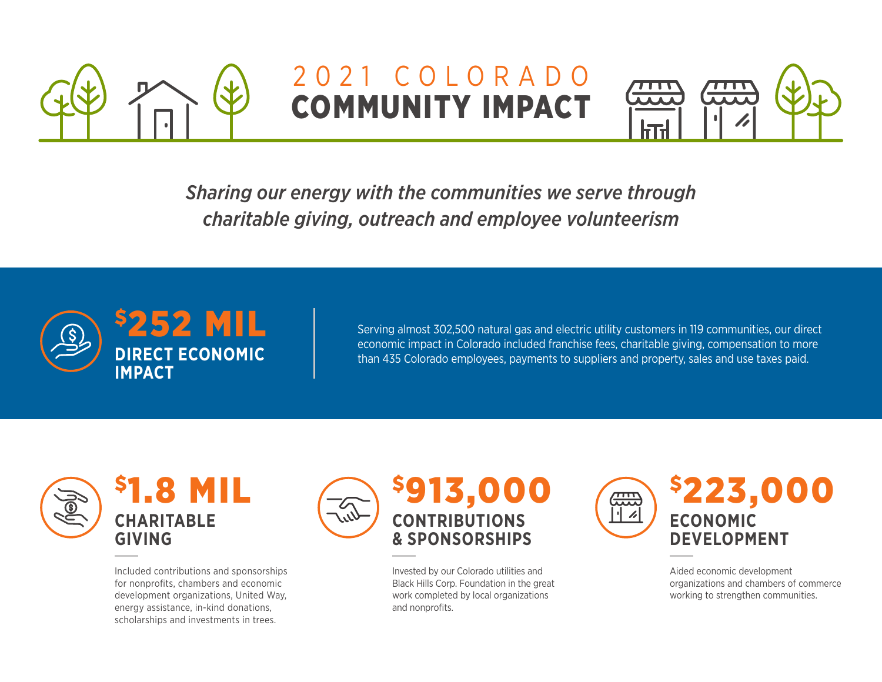

## 2021 COLORADO COMMUNITY IMPACT



*Sharing our energy with the communities we serve through charitable giving, outreach and employee volunteerism*



Serving almost 302,500 natural gas and electric utility customers in 119 communities, our direct economic impact in Colorado included franchise fees, charitable giving, compensation to more than 435 Colorado employees, payments to suppliers and property, sales and use taxes paid.



Included contributions and sponsorships for nonprofits, chambers and economic development organizations, United Way, energy assistance, in-kind donations, scholarships and investments in trees.



Invested by our Colorado utilities and Black Hills Corp. Foundation in the great work completed by local organizations and nonprofits.



Aided economic development organizations and chambers of commerce working to strengthen communities.